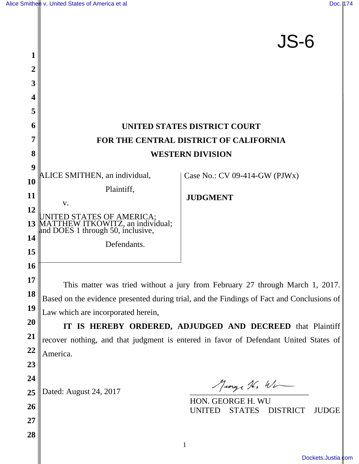|                 |                                                                                                    | JS-6                                                              |  |
|-----------------|----------------------------------------------------------------------------------------------------|-------------------------------------------------------------------|--|
| 1               |                                                                                                    |                                                                   |  |
| 2               |                                                                                                    |                                                                   |  |
| 3               |                                                                                                    |                                                                   |  |
| 4               |                                                                                                    |                                                                   |  |
| 5               |                                                                                                    |                                                                   |  |
| 6               |                                                                                                    | <b>UNITED STATES DISTRICT COURT</b>                               |  |
| 7               | FOR THE CENTRAL DISTRICT OF CALIFORNIA                                                             |                                                                   |  |
| 8               | <b>WESTERN DIVISION</b>                                                                            |                                                                   |  |
| 9               | ALICE SMITHEN, an individual,                                                                      | Case No.: CV 09-414-GW ( $PJWx$ )                                 |  |
| 10              | Plaintiff,                                                                                         |                                                                   |  |
| 11              | V.                                                                                                 | <b>JUDGMENT</b>                                                   |  |
| 12              |                                                                                                    |                                                                   |  |
| 13              | UNITED STATES OF AMERICA;<br>MATTHEW ITKOWITZ, an individual;<br>and DOES 1 through 50, inclusive, |                                                                   |  |
| 14              | Defendants.                                                                                        |                                                                   |  |
| 15              |                                                                                                    |                                                                   |  |
| 16              |                                                                                                    |                                                                   |  |
| 17              | This matter was tried without a jury from February 27 through March 1, 2017.                       |                                                                   |  |
| 18              | Based on the evidence presented during trial, and the Findings of Fact and Conclusions of          |                                                                   |  |
| 19              | Law which are incorporated herein,                                                                 |                                                                   |  |
| <b>20</b><br>21 | IT IS HEREBY ORDERED, ADJUDGED AND DECREED that Plaintiff                                          |                                                                   |  |
| <u>22</u>       | recover nothing, and that judgment is entered in favor of Defendant United States of               |                                                                   |  |
| 23              | America.                                                                                           |                                                                   |  |
| 24              |                                                                                                    |                                                                   |  |
| 25              | Dated: August 24, 2017                                                                             | Marge 16, Wir                                                     |  |
| 26              |                                                                                                    | HON. GEORGE H. WU                                                 |  |
| 27              |                                                                                                    | <b>DISTRICT</b><br><b>STATES</b><br><b>JUDGE</b><br><b>UNITED</b> |  |
| 28              |                                                                                                    |                                                                   |  |
|                 |                                                                                                    |                                                                   |  |